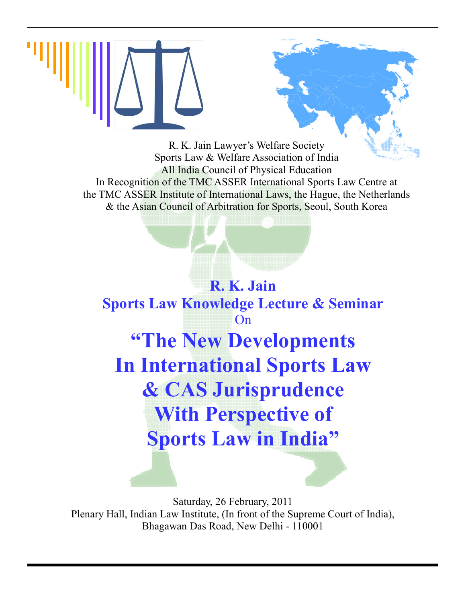

R. K. Jain Lawyer's Welfare Society Sports Law & Welfare Association of India All India Council of Physical Education In Recognition of the TMC ASSER International Sports Law Centre at the TMC ASSER Institute of International Laws, the Hague, the Netherlands & the Asian Council of Arbitration for Sports, Seoul, South Korea

R. K. Jain Sports Law Knowledge Lecture & Seminar On "The New Developments In International Sports Law & CAS Jurisprudence With Perspective of Sports Law in India"

Saturday, 26 February, 2011 Plenary Hall, Indian Law Institute, (In front of the Supreme Court of India), Bhagawan Das Road, New Delhi - 110001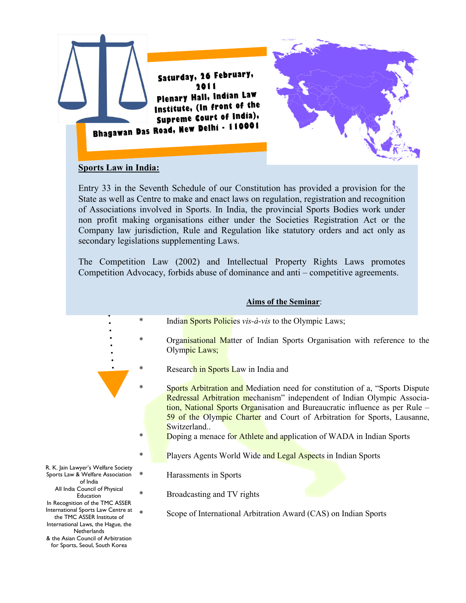

# Sports Law in India:

Entry 33 in the Seventh Schedule of our Constitution has provided a provision for the State as well as Centre to make and enact laws on regulation, registration and recognition of Associations involved in Sports. In India, the provincial Sports Bodies work under non profit making organisations either under the Societies Registration Act or the Company law jurisdiction, Rule and Regulation like statutory orders and act only as secondary legislations supplementing Laws.

The Competition Law (2002) and Intellectual Property Rights Laws promotes Competition Advocacy, forbids abuse of dominance and anti – competitive agreements.

# Aims of the Seminar:

- \* Indian Sports Policies vis-à-vis to the Olympic Laws;
- Organisational Matter of Indian Sports Organisation with reference to the Olympic Laws;
- Research in Sports Law in India and
	- Sports Arbitration and Mediation need for constitution of a, "Sports Dispute Redressal Arbitration mechanism" independent of Indian Olympic Association, National Sports Organisation and Bureaucratic influence as per Rule – 59 of the Olympic Charter and Court of Arbitration for Sports, Lausanne, Switzerland..
- \* Doping a menace for Athlete and application of WADA in Indian Sports
- \* Players Agents World Wide and Legal Aspects in Indian Sports
- \* Harassments in Sports
- \* Broadcasting and TV rights
	- Scope of International Arbitration Award (CAS) on Indian Sports
- R. K. Jain Lawyer's Welfare Society Sports Law & Welfare Association of India
- All India Council of Physical Education
- In Recognition of the TMC ASSER International Sports Law Centre at \*
- the TMC ASSER Institute of International Laws, the Hague, the **Netherlands**
- & the Asian Council of Arbitration for Sports, Seoul, South Korea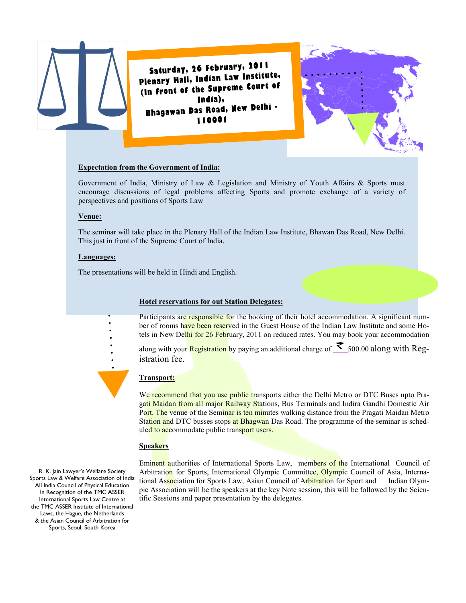

Saturday, <sup>26</sup> February, <sup>2011</sup> Plenary Hall, Indian Law Institute, (In front of the Supreme Court of India), Bhagawan Das Road, New Delhi - 110001



### Expectation from the Government of India:

Government of India, Ministry of Law & Legislation and Ministry of Youth Affairs & Sports must encourage discussions of legal problems affecting Sports and promote exchange of a variety of perspectives and positions of Sports Law

#### Venue:

The seminar will take place in the Plenary Hall of the Indian Law Institute, Bhawan Das Road, New Delhi. This just in front of the Supreme Court of India.

#### Languages:

The presentations will be held in Hindi and English.

#### Hotel reservations for out Station Delegates:

Participants are responsible for the booking of their hotel accommodation. A significant number of rooms have been reserved in the Guest House of the Indian Law Institute and some Hotels in New Delhi for 26 February, 2011 on reduced rates. You may book your accommodation

along with your Registration by paying an additional charge of  $\leq$  500.00 along with Registration fee.

#### Transport:

We recommend that you use public transports either the Delhi Metro or DTC Buses upto Pragati Maidan from all major Railway Stations, Bus Terminals and Indira Gandhi Domestic Air Port. The venue of the Seminar is ten minutes walking distance from the Pragati Maidan Metro Station and DTC busses stops at Bhagwan Das Road. The programme of the seminar is scheduled to accommodate public transport users.

#### **Speakers**

Eminent authorities of International Sports Law, members of the International Council of Arbitration for Sports, International Olympic Committee, Olympic Council of Asia, International Association for Sports Law, Asian Council of Arbitration for Sport and Indian Olympic Association will be the speakers at the key Note session, this will be followed by the Scientific Sessions and paper presentation by the delegates.

R. K. Jain Lawyer's Welfare Society Sports Law & Welfare Association of India All India Council of Physical Education In Recognition of the TMC ASSER International Sports Law Centre at the TMC ASSER Institute of International Laws, the Hague, the Netherlands & the Asian Council of Arbitration for Sports, Seoul, South Korea